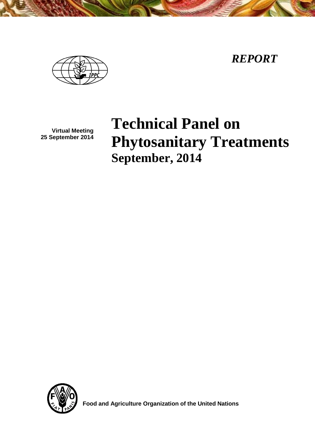*REPORT*



**Virtual Meeting 25 September 2014**

# **Technical Panel on Phytosanitary Treatments September, 2014**



 **Food and Agriculture Organization of the United Nations**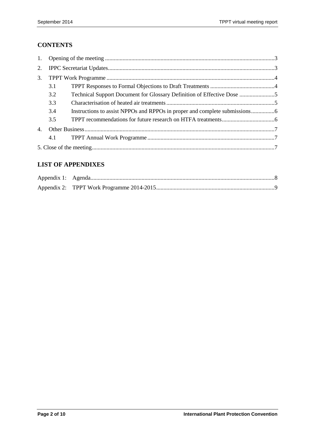# **CONTENTS**

| 1.             |     |                                                                      |  |  |  |  |
|----------------|-----|----------------------------------------------------------------------|--|--|--|--|
| 2.             |     |                                                                      |  |  |  |  |
| 3.             |     |                                                                      |  |  |  |  |
|                | 3.1 |                                                                      |  |  |  |  |
|                | 3.2 | Technical Support Document for Glossary Definition of Effective Dose |  |  |  |  |
|                | 3.3 |                                                                      |  |  |  |  |
|                | 3.4 |                                                                      |  |  |  |  |
|                | 3.5 |                                                                      |  |  |  |  |
| $\mathbf{4}$ . |     |                                                                      |  |  |  |  |
|                | 4.1 |                                                                      |  |  |  |  |
|                |     |                                                                      |  |  |  |  |

#### **LIST OF APPENDIXES**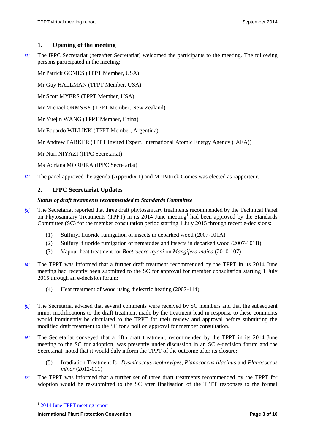#### **1. Opening of the meeting**

*[1]* The IPPC Secretariat (hereafter Secretariat) welcomed the participants to the meeting. The following persons participated in the meeting:

Mr Patrick GOMES (TPPT Member, USA)

Mr Guy HALLMAN (TPPT Member, USA)

Mr Scott MYERS (TPPT Member, USA)

Mr Michael ORMSBY (TPPT Member, New Zealand)

Mr Yuejin WANG (TPPT Member, China)

Mr Eduardo WILLINK (TPPT Member, Argentina)

Mr Andrew PARKER (TPPT Invited Expert, International Atomic Energy Agency (IAEA))

Mr Nuri NIYAZI (IPPC Secretariat)

Ms Adriana MOREIRA (IPPC Secretariat)

*[2]* The panel approved the agenda (Appendix 1) and Mr Patrick Gomes was elected as rapporteur.

#### **2. IPPC Secretariat Updates**

#### *Status of draft treatments recommended to Standards Committee*

- *[3]* The Secretariat reported that three draft phytosanitary treatments recommended by the Technical Panel on Phytosanitary Treatments (TPPT) in its 2014 June meeting<sup>1</sup> had been approved by the Standards Committee (SC) for the member consultation period starting 1 July 2015 through recent e-decisions:
	- (1) Sulfuryl fluoride fumigation of insects in debarked wood (2007-101A)
	- (2) Sulfuryl fluoride fumigation of nematodes and insects in debarked wood (2007-101B)
	- (3) Vapour heat treatment for *Bactrocera tryoni* on *Mangifera indica* (2010-107)
- *[4]* The TPPT was informed that a further draft treatment recommended by the TPPT in its 2014 June meeting had recently been submitted to the SC for approval for member consultation starting 1 July 2015 through an e-decision forum:
	- (4) Heat treatment of wood using dielectric heating (2007-114)
- *[5]* The Secretariat advised that several comments were received by SC members and that the subsequent minor modifications to the draft treatment made by the treatment lead in response to these comments would imminently be circulated to the TPPT for their review and approval before submitting the modified draft treatment to the SC for a poll on approval for member consultation.
- *[6]* The Secretariat conveyed that a fifth draft treatment, recommended by the TPPT in its 2014 June meeting to the SC for adoption, was presently under discussion in an SC e-decision forum and the Secretariat noted that it would duly inform the TPPT of the outcome after its closure:
	- (5) Irradiation Treatment for *Dysmicoccus neobrevipes, Planococcus lilacinus* and *Planococcus minor* (2012-011)
- *[7]* The TPPT was informed that a further set of three draft treatments recommended by the TPPT for adoption would be re-submitted to the SC after finalisation of the TPPT responses to the formal

 $\overline{a}$ 

<sup>&</sup>lt;sup>1</sup> [2014 June TPPT meeting report](https://www.ippc.int/core-activities/standards-setting/expert-drafting-groups/technical-panels/technical-panel-phytosanitary-treatments)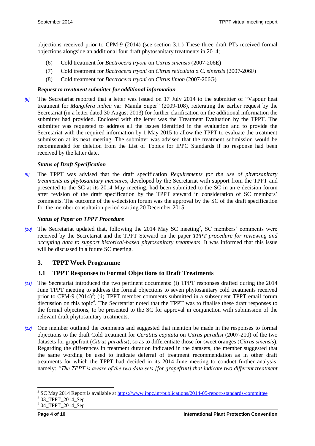objections received prior to CPM-9 (2014) (see section 3.1.) These three draft PTs received formal objections alongside an additional four draft phytosanitary treatments in 2014;

- (6) Cold treatment for *Bactrocera tryoni* on *Citrus sinensis* (2007-206E)
- (7) Cold treatment for *Bactrocera tryoni* on *Citrus reticulata* x *C. sinensis* (2007-206F)
- (8) Cold treatment for *Bactrocera tryoni* on *Citrus limon* (2007-206G)

#### *Request to treatment submitter for additional information*

*[8]* The Secretariat reported that a letter was issued on 17 July 2014 to the submitter of "Vapour heat treatment for *Mangifera indica* var. Manila Super" (2009-108), reiterating the earlier request by the Secretariat (in a letter dated 30 August 2013) for further clarification on the additional information the submitter had provided. Enclosed with the letter was the Treatment Evaluation by the TPPT. The submitter was requested to address all the issues identified in the evaluation and to provide the Secretariat with the required information by 1 May 2015 to allow the TPPT to evaluate the treatment submission at its next meeting. The submitter was advised that the treatment submission would be recommended for deletion from the List of Topics for IPPC Standards if no response had been received by the latter date.

#### *Status of Draft Specification*

*[9]* The TPPT was advised that the draft specification *Requirements for the use of phytosanitary treatments as phytosanitary measures*, developed by the Secretariat with support from the TPPT and presented to the SC at its 2014 May meeting, had been submitted to the SC in an e-decision forum after revision of the draft specification by the TPPT steward in consideration of SC members' comments. The outcome of the e-decision forum was the approval by the SC of the draft specification for the member consultation period starting 20 December 2015.

#### *Status of Paper on TPPT Procedure*

[10] The Secretariat updated that, following the 2014 May SC meeting<sup>2</sup>, SC members' comments were received by the Secretariat and the TPPT Steward on the paper *TPPT procedure for reviewing and accepting data to support historical-based phytosanitary treatments*. It was informed that this issue will be discussed in a future SC meeting.

#### **3. TPPT Work Programme**

#### **3.1 TPPT Responses to Formal Objections to Draft Treatments**

- *[11]* The Secretariat introduced the two pertinent documents: (i) TPPT responses drafted during the 2014 June TPPT meeting to address the formal objections to seven phytosanitary cold treatments received prior to CPM-9  $(2014)^3$ ; (ii) TPPT member comments submitted in a subsequent TPPT email forum discussion on this topic<sup>4</sup>. The Secretariat noted that the TPPT was to finalise these draft responses to the formal objections, to be presented to the SC for approval in conjunction with submission of the relevant draft phytosanitary treatments.
- *[12]* One member outlined the comments and suggested that mention be made in the responses to formal objections to the draft Cold treatment for *Ceratitis capitata* on *Citrus paradisi* (2007-210) of the two datasets for grapefruit (*Citrus paradisi*), so as to differentiate those for sweet oranges (*Citrus sinensis*). Regarding the differences in treatment duration indicated in the datasets, the member suggested that the same wording be used to indicate deferral of treatment recommendation as in other draft treatments for which the TPPT had decided in its 2014 June meeting to conduct further analysis, namely: *"The TPPT is aware of the two data sets [for grapefruit] that indicate two different treatment*

l

<sup>&</sup>lt;sup>2</sup> SC May 2014 Report is available at<https://www.ippc.int/publications/2014-05-report-standards-committee>

<sup>&</sup>lt;sup>3</sup> 03\_TPPT\_2014\_Sep

<sup>4</sup> 04\_TPPT\_2014\_Sep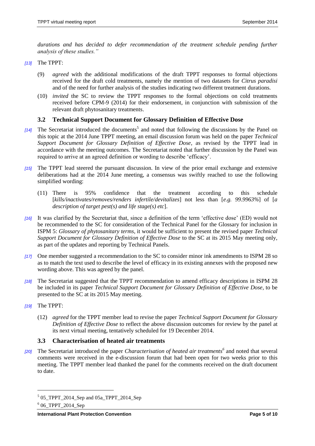durations and has decided to defer recommendation of the treatment schedule pending further *analysis of these studies."*

*[13]* The TPPT:

- (9) *agreed* with the additional modifications of the draft TPPT responses to formal objections received for the draft cold treatments, namely the mention of two datasets for *Citrus paradisi* and of the need for further analysis of the studies indicating two different treatment durations.
- (10) *invited* the SC to review the TPPT responses to the formal objections on cold treatments received before CPM-9 (2014) for their endorsement, in conjunction with submission of the relevant draft phytosanitary treatments.

## **3.2 Technical Support Document for Glossary Definition of Effective Dose**

- [14] The Secretariat introduced the documents<sup>5</sup> and noted that following the discussions by the Panel on this topic at the 2014 June TPPT meeting, an email discussion forum was held on the paper *Technical Support Document for Glossary Definition of Effective Dose*, as revised by the TPPT lead in accordance with the meeting outcomes. The Secretariat noted that further discussion by the Panel was required to arrive at an agreed definition or wording to describe 'efficacy'.
- *[15]* The TPPT lead steered the pursuant discussion. In view of the prior email exchange and extensive deliberations had at the 2014 June meeting, a consensus was swiftly reached to use the following simplified wording:
	- (11) There is 95% confidence that the treatment according to this schedule [*kills/inactivates/removes/renders infertile/devitalizes*] not less than [*e.g. 99.9963%*] of [*a description of target pest(s) and life stage(s) etc*].
- *[16]* It was clarified by the Secretariat that, since a definition of the term 'effective dose' (ED) would not be recommended to the SC for consideration of the Technical Panel for the Glossary for inclusion in ISPM 5: *Glossary of phytosanitary terms*, it would be sufficient to present the revised paper *Technical Support Document for Glossary Definition of Effective Dose* to the SC at its 2015 May meeting only, as part of the updates and reporting by Technical Panels.
- *[17]* One member suggested a recommendation to the SC to consider minor ink amendments to ISPM 28 so as to match the text used to describe the level of efficacy in its existing annexes with the proposed new wording above. This was agreed by the panel.
- *[18]* The Secretariat suggested that the TPPT recommendation to amend efficacy descriptions in ISPM 28 be included in its paper *Technical Support Document for Glossary Definition of Effective Dose*, to be presented to the SC at its 2015 May meeting.
- *[19]* The TPPT:

l

(12) *agreed* for the TPPT member lead to revise the paper *Technical Support Document for Glossary Definition of Effective Dose* to reflect the above discussion outcomes for review by the panel at its next virtual meeting, tentatively scheduled for 19 December 2014.

## **3.3 Characterisation of heated air treatments**

*[20]* The Secretariat introduced the paper *Characterisation of heated air treatments<sup>6</sup>* and noted that several comments were received in the e-discussion forum that had been open for two weeks prior to this meeting. The TPPT member lead thanked the panel for the comments received on the draft document to date.

<sup>5</sup> 05\_TPPT\_2014\_Sep and 05a\_TPPT\_2014\_Sep

 $606$ \_TPPT\_2014\_Sep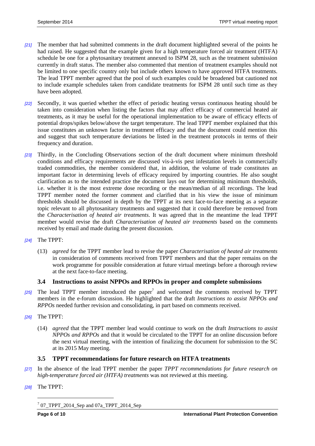- *[21]* The member that had submitted comments in the draft document highlighted several of the points he had raised. He suggested that the example given for a high temperature forced air treatment (HTFA) schedule be one for a phytosanitary treatment annexed to ISPM 28, such as the treatment submission currently in draft status. The member also commented that mention of treatment examples should not be limited to one specific country only but include others known to have approved HTFA treatments. The lead TPPT member agreed that the pool of such examples could be broadened but cautioned not to include example schedules taken from candidate treatments for ISPM 28 until such time as they have been adopted.
- *[22]* Secondly, it was queried whether the effect of periodic heating versus continuous heating should be taken into consideration when listing the factors that may affect efficacy of commercial heated air treatments, as it may be useful for the operational implementation to be aware of efficacy effects of potential drops/spikes below/above the target temperature. The lead TPPT member explained that this issue constitutes an unknown factor in treatment efficacy and that the document could mention this and suggest that such temperature deviations be listed in the treatment protocols in terms of their frequency and duration.
- *[23]* Thirdly, in the Concluding Observations section of the draft document where minimum threshold conditions and efficacy requirements are discussed vis-à-vis pest infestation levels in commercially traded commodities, the member considered that, in addition, the volume of trade constitutes an important factor in determining levels of efficacy required by importing countries. He also sought clarification as to the intended practice the document lays out for determining minimum thresholds, i.e. whether it is the most extreme dose recording or the mean/median of all recordings. The lead TPPT member noted the former comment and clarified that in his view the issue of minimum thresholds should be discussed in depth by the TPPT at its next face-to-face meeting as a separate topic relevant to all phytosanitary treatments and suggested that it could therefore be removed from the *Characterisation of heated air treatments*. It was agreed that in the meantime the lead TPPT member would revise the draft *Characterisation of heated air treatments* based on the comments received by email and made during the present discussion.
- *[24]* The TPPT:
	- (13) *agreed* for the TPPT member lead to revise the paper *Characterisation of heated air treatments* in consideration of comments received from TPPT members and that the paper remains on the work programme for possible consideration at future virtual meetings before a thorough review at the next face-to-face meeting.

# **3.4 Instructions to assist NPPOs and RPPOs in proper and complete submissions**

- [25] The lead TPPT member introduced the paper<sup>7</sup> and welcomed the comments received by TPPT members in the e-forum discussion. He highlighted that the draft *Instructions to assist NPPOs and RPPOs* needed further revision and consolidating, in part based on comments received.
- *[26]* The TPPT:
	- (14) *agreed* that the TPPT member lead would continue to work on the draft *Instructions to assist NPPOs and RPPOs* and that it would be circulated to the TPPT for an online discussion before the next virtual meeting, with the intention of finalizing the document for submission to the SC at its 2015 May meeting.

#### **3.5 TPPT recommendations for future research on HTFA treatments**

- *[27]* In the absence of the lead TPPT member the paper *TPPT recommendations for future research on high-temperature forced air (HTFA) treatments* was not reviewed at this meeting.
- *[28]* The TPPT:

 $\overline{a}$ 

 $707$ \_TPPT\_2014\_Sep and 07a\_TPPT\_2014\_Sep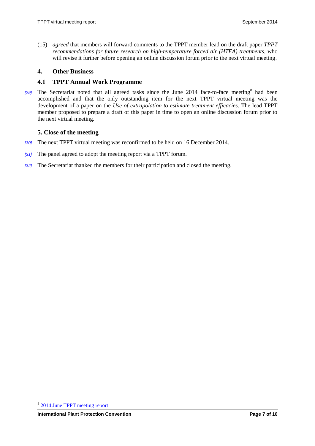(15) *agreed* that members will forward comments to the TPPT member lead on the draft paper *TPPT recommendations for future research on high-temperature forced air (HTFA) treatments*, who will revise it further before opening an online discussion forum prior to the next virtual meeting.

#### **4. Other Business**

#### **4.1 TPPT Annual Work Programme**

[29] The Secretariat noted that all agreed tasks since the June 2014 face-to-face meeting<sup>8</sup> had been accomplished and that the only outstanding item for the next TPPT virtual meeting was the development of a paper on the *Use of extrapolation to estimate treatment efficacies*. The lead TPPT member proposed to prepare a draft of this paper in time to open an online discussion forum prior to the next virtual meeting.

#### **5. Close of the meeting**

- *[30]* The next TPPT virtual meeting was reconfirmed to be held on 16 December 2014.
- *[31]* The panel agreed to adopt the meeting report via a TPPT forum.
- *[32]* The Secretariat thanked the members for their participation and closed the meeting.

 $\overline{a}$ 

<sup>&</sup>lt;sup>8</sup> [2014 June TPPT meeting report](https://www.ippc.int/core-activities/standards-setting/expert-drafting-groups/technical-panels/technical-panel-phytosanitary-treatments)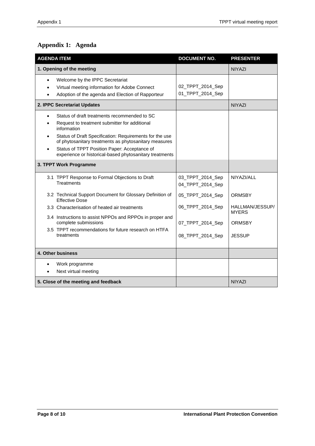# <span id="page-7-0"></span>**Appendix 1: Agenda**

| <b>AGENDA ITEM</b>                                                                                                                                                                                                                                                                                                                                       | <b>DOCUMENT NO.</b>                  | <b>PRESENTER</b>                |
|----------------------------------------------------------------------------------------------------------------------------------------------------------------------------------------------------------------------------------------------------------------------------------------------------------------------------------------------------------|--------------------------------------|---------------------------------|
| 1. Opening of the meeting                                                                                                                                                                                                                                                                                                                                |                                      | <b>NIYAZI</b>                   |
| Welcome by the IPPC Secretariat<br>$\bullet$<br>Virtual meeting information for Adobe Connect<br>Adoption of the agenda and Election of Rapporteur                                                                                                                                                                                                       | 02_TPPT_2014_Sep<br>01_TPPT_2014_Sep |                                 |
| 2. IPPC Secretariat Updates                                                                                                                                                                                                                                                                                                                              |                                      | <b>NIYAZI</b>                   |
| Status of draft treatments recommended to SC<br>Request to treatment submitter for additional<br>information<br>Status of Draft Specification: Requirements for the use<br>$\bullet$<br>of phytosanitary treatments as phytosanitary measures<br>Status of TPPT Position Paper: Acceptance of<br>experience or historical-based phytosanitary treatments |                                      |                                 |
| 3. TPPT Work Programme                                                                                                                                                                                                                                                                                                                                   |                                      |                                 |
| 3.1 TPPT Response to Formal Objections to Draft<br>Treatments                                                                                                                                                                                                                                                                                            | 03_TPPT_2014_Sep<br>04_TPPT_2014_Sep | NIYAZI/ALL                      |
| 3.2 Technical Support Document for Glossary Definition of<br><b>Effective Dose</b>                                                                                                                                                                                                                                                                       | 05_TPPT_2014_Sep                     | <b>ORMSBY</b>                   |
| 3.3 Characterisation of heated air treatments                                                                                                                                                                                                                                                                                                            | 06_TPPT_2014_Sep                     | HALLMAN/JESSUP/<br><b>MYERS</b> |
| 3.4 Instructions to assist NPPOs and RPPOs in proper and<br>complete submissions                                                                                                                                                                                                                                                                         | 07_TPPT_2014_Sep                     | ORMSBY                          |
| 3.5 TPPT recommendations for future research on HTFA<br>treatments                                                                                                                                                                                                                                                                                       | 08_TPPT_2014_Sep                     | <b>JESSUP</b>                   |
| 4. Other business                                                                                                                                                                                                                                                                                                                                        |                                      |                                 |
| Work programme<br>Next virtual meeting                                                                                                                                                                                                                                                                                                                   |                                      |                                 |
| 5. Close of the meeting and feedback                                                                                                                                                                                                                                                                                                                     |                                      | <b>NIYAZI</b>                   |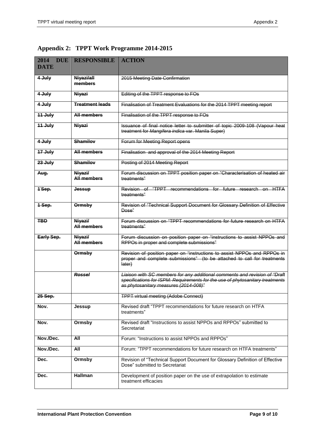| 2014<br><b>DUE</b><br><b>DATE</b> | <b>RESPONSIBLE</b>            | <b>ACTION</b>                                                                                                                                                                                        |
|-----------------------------------|-------------------------------|------------------------------------------------------------------------------------------------------------------------------------------------------------------------------------------------------|
| 4 July                            | Niyazi/all<br>members         | 2015 Meeting Date Confirmation                                                                                                                                                                       |
| 4 July                            | Niyazi                        | Editing of the TPPT response to FOs                                                                                                                                                                  |
| 4 July                            | <b>Treatment leads</b>        | Finalisation of Treatment Evaluations for the 2014 TPPT meeting report                                                                                                                               |
| 11 July                           | <b>All members</b>            | Finalisation of the TPPT response to FOs                                                                                                                                                             |
| 11 July                           | Niyazi                        | Issuance of final notice letter to submitter of topic 2009-108 (Vapour heat<br>treatment for Mangifera indica var. Manila Super)                                                                     |
| 4 July                            | <b>Shamilov</b>               | Forum for Meeting Report opens                                                                                                                                                                       |
| 17 July                           | <b>All members</b>            | Finalisation and approval of the 2014 Meeting Report                                                                                                                                                 |
| 23 July                           | <b>Shamilov</b>               | Posting of 2014 Meeting Report                                                                                                                                                                       |
| Aug.                              | Niyazi/<br>All members        | Forum discussion on TPPT position paper on "Characterisation of heated air<br>treatments"                                                                                                            |
| 1 Sep.                            | <b>Jessup</b>                 | Revision of "TPPT recommendations for future research on HTFA<br>treatments"                                                                                                                         |
| 1-Sep.                            | <b>Ormsby</b>                 | Revision of "Technical Support Document for Glossary Definition of Effective<br>Dose"                                                                                                                |
| <b>TBD</b>                        | Niyazi/<br><b>All members</b> | Forum discussion on "TPPT recommendations for future research on HTFA<br>treatments"                                                                                                                 |
| Early Sep.                        | Niyazi/<br><b>All members</b> | Forum discussion on position paper on "instructions to assist NPPOs and<br>RPPOs in proper and complete submissions"                                                                                 |
|                                   | <b>Ormsby</b>                 | Revision of position paper on "instructions to assist NPPOs and RPPOs in<br>proper and complete submissions" (to be attached to call for treatments<br>later)                                        |
|                                   | <b>Rossel</b>                 | Liaison with SC members for any additional comments and revision of "Draft<br>specifications for ISPM: Requirements for the use of phytosanitary treatments<br>as phytosanitary measures (2014-008)" |
| 25 Sep.                           |                               | <b>TPPT virtual meeting (Adobe Connect)</b>                                                                                                                                                          |
| Nov.                              | Jessup                        | Revised draft "TPPT recommendations for future research on HTFA<br>treatments"                                                                                                                       |
| Nov.                              | Ormsby                        | Revised draft "Instructions to assist NPPOs and RPPOs" submitted to<br>Secretariat                                                                                                                   |
| Nov./Dec.                         | All                           | Forum: "Instructions to assist NPPOs and RPPOs"                                                                                                                                                      |
| Nov./Dec.                         | All                           | Forum: "TPPT recommendations for future research on HTFA treatments"                                                                                                                                 |
| Dec.                              | Ormsby                        | Revision of "Technical Support Document for Glossary Definition of Effective<br>Dose" submitted to Secretariat                                                                                       |
| Dec.                              | Hallman                       | Development of position paper on the use of extrapolation to estimate<br>treatment efficacies                                                                                                        |

<span id="page-8-0"></span>**Appendix 2: TPPT Work Programme 2014-2015**